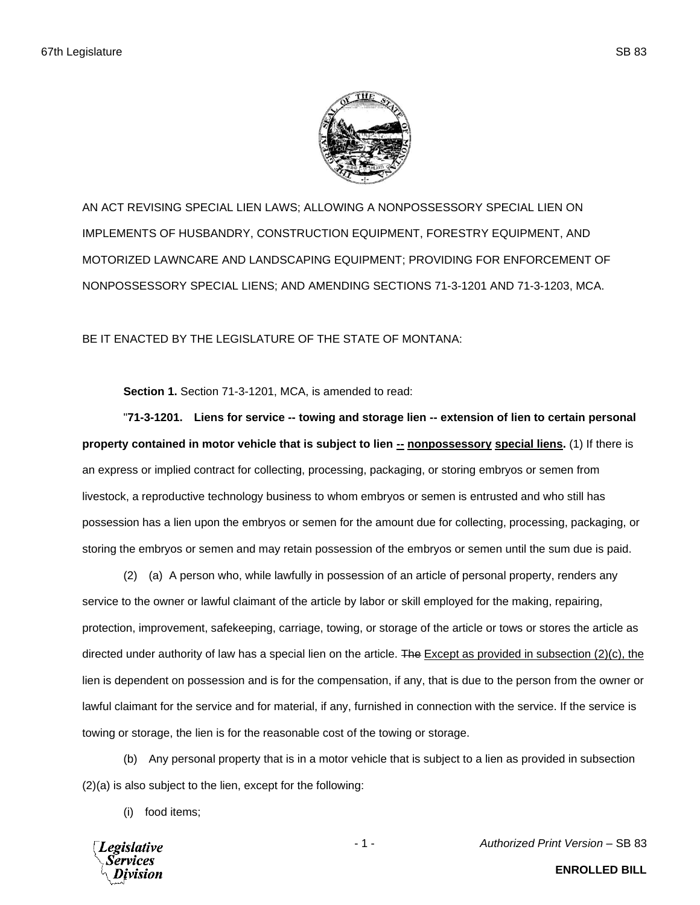

AN ACT REVISING SPECIAL LIEN LAWS; ALLOWING A NONPOSSESSORY SPECIAL LIEN ON IMPLEMENTS OF HUSBANDRY, CONSTRUCTION EQUIPMENT, FORESTRY EQUIPMENT, AND MOTORIZED LAWNCARE AND LANDSCAPING EQUIPMENT; PROVIDING FOR ENFORCEMENT OF NONPOSSESSORY SPECIAL LIENS; AND AMENDING SECTIONS 71-3-1201 AND 71-3-1203, MCA.

BE IT ENACTED BY THE LEGISLATURE OF THE STATE OF MONTANA:

**Section 1.** Section 71-3-1201, MCA, is amended to read:

"**71-3-1201. Liens for service -- towing and storage lien -- extension of lien to certain personal property contained in motor vehicle that is subject to lien**  $\frac{1}{n}$  **<b>nonpossessory** special liens. (1) If there is an express or implied contract for collecting, processing, packaging, or storing embryos or semen from livestock, a reproductive technology business to whom embryos or semen is entrusted and who still has possession has a lien upon the embryos or semen for the amount due for collecting, processing, packaging, or storing the embryos or semen and may retain possession of the embryos or semen until the sum due is paid.

(2) (a) A person who, while lawfully in possession of an article of personal property, renders any service to the owner or lawful claimant of the article by labor or skill employed for the making, repairing, protection, improvement, safekeeping, carriage, towing, or storage of the article or tows or stores the article as directed under authority of law has a special lien on the article. The **Except as provided in subsection (2)(c)**, the lien is dependent on possession and is for the compensation, if any, that is due to the person from the owner or lawful claimant for the service and for material, if any, furnished in connection with the service. If the service is towing or storage, the lien is for the reasonable cost of the towing or storage.

(b) Any personal property that is in a motor vehicle that is subject to a lien as provided in subsection (2)(a) is also subject to the lien, except for the following:

(i) food items;



- 1 - *Authorized Print Version* – SB 83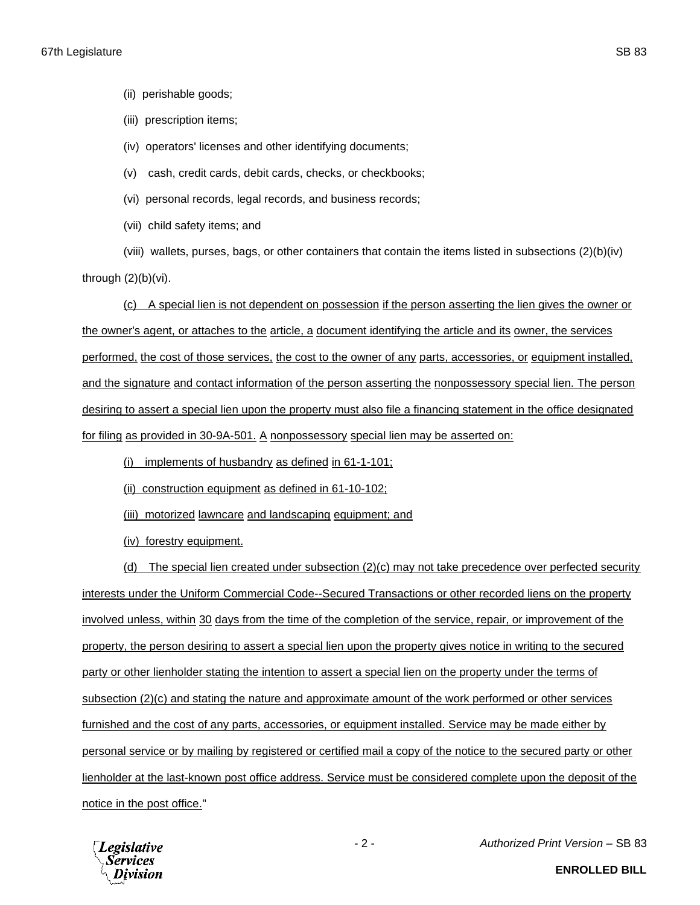(ii) perishable goods;

(iii) prescription items;

(iv) operators' licenses and other identifying documents;

(v) cash, credit cards, debit cards, checks, or checkbooks;

(vi) personal records, legal records, and business records;

(vii) child safety items; and

(viii) wallets, purses, bags, or other containers that contain the items listed in subsections (2)(b)(iv) through  $(2)(b)(vi)$ .

(c) A special lien is not dependent on possession if the person asserting the lien gives the owner or the owner's agent, or attaches to the article, a document identifying the article and its owner, the services performed, the cost of those services, the cost to the owner of any parts, accessories, or equipment installed, and the signature and contact information of the person asserting the nonpossessory special lien. The person desiring to assert a special lien upon the property must also file a financing statement in the office designated for filing as provided in 30-9A-501. A nonpossessory special lien may be asserted on:

(i) implements of husbandry as defined in 61-1-101;

(ii) construction equipment as defined in 61-10-102;

(iii) motorized lawncare and landscaping equipment; and

(iv) forestry equipment.

(d) The special lien created under subsection (2)(c) may not take precedence over perfected security interests under the Uniform Commercial Code--Secured Transactions or other recorded liens on the property involved unless, within 30 days from the time of the completion of the service, repair, or improvement of the property, the person desiring to assert a special lien upon the property gives notice in writing to the secured party or other lienholder stating the intention to assert a special lien on the property under the terms of subsection (2)(c) and stating the nature and approximate amount of the work performed or other services furnished and the cost of any parts, accessories, or equipment installed. Service may be made either by personal service or by mailing by registered or certified mail a copy of the notice to the secured party or other lienholder at the last-known post office address. Service must be considered complete upon the deposit of the notice in the post office."



- 2 - *Authorized Print Version* – SB 83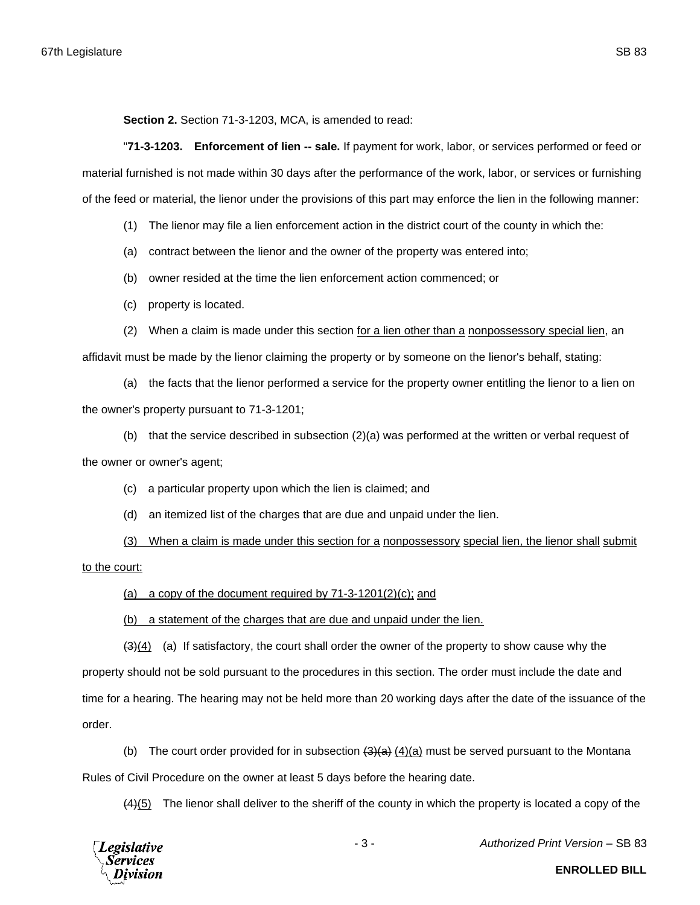**Section 2.** Section 71-3-1203, MCA, is amended to read:

"**71-3-1203. Enforcement of lien -- sale.** If payment for work, labor, or services performed or feed or material furnished is not made within 30 days after the performance of the work, labor, or services or furnishing of the feed or material, the lienor under the provisions of this part may enforce the lien in the following manner:

(1) The lienor may file a lien enforcement action in the district court of the county in which the:

(a) contract between the lienor and the owner of the property was entered into;

(b) owner resided at the time the lien enforcement action commenced; or

(c) property is located.

(2) When a claim is made under this section for a lien other than a nonpossessory special lien, an

affidavit must be made by the lienor claiming the property or by someone on the lienor's behalf, stating:

(a) the facts that the lienor performed a service for the property owner entitling the lienor to a lien on the owner's property pursuant to 71-3-1201;

(b) that the service described in subsection (2)(a) was performed at the written or verbal request of the owner or owner's agent;

(c) a particular property upon which the lien is claimed; and

(d) an itemized list of the charges that are due and unpaid under the lien.

(3) When a claim is made under this section for a nonpossessory special lien, the lienor shall submit

to the court:

(a) a copy of the document required by  $71-3-1201(2)(c)$ ; and

(b) a statement of the charges that are due and unpaid under the lien.

 $(3)(4)$  (a) If satisfactory, the court shall order the owner of the property to show cause why the property should not be sold pursuant to the procedures in this section. The order must include the date and time for a hearing. The hearing may not be held more than 20 working days after the date of the issuance of the order.

(b) The court order provided for in subsection  $\left(\frac{3}{4}\right)\left(\frac{4}{a}\right)$  must be served pursuant to the Montana Rules of Civil Procedure on the owner at least 5 days before the hearing date.

(4)(5) The lienor shall deliver to the sheriff of the county in which the property is located a copy of the



- 3 - *Authorized Print Version* – SB 83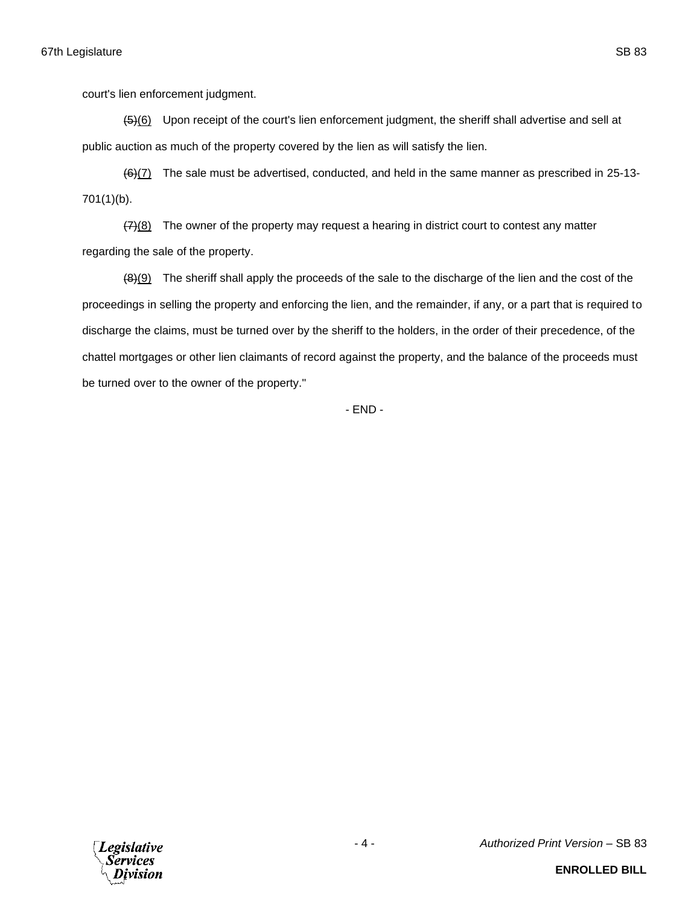court's lien enforcement judgment.

(5)(6) Upon receipt of the court's lien enforcement judgment, the sheriff shall advertise and sell at public auction as much of the property covered by the lien as will satisfy the lien.

(6)(7) The sale must be advertised, conducted, and held in the same manner as prescribed in 25-13- 701(1)(b).

 $(7)(8)$  The owner of the property may request a hearing in district court to contest any matter regarding the sale of the property.

 $(8)(9)$  The sheriff shall apply the proceeds of the sale to the discharge of the lien and the cost of the proceedings in selling the property and enforcing the lien, and the remainder, if any, or a part that is required to discharge the claims, must be turned over by the sheriff to the holders, in the order of their precedence, of the chattel mortgages or other lien claimants of record against the property, and the balance of the proceeds must be turned over to the owner of the property."

- END -

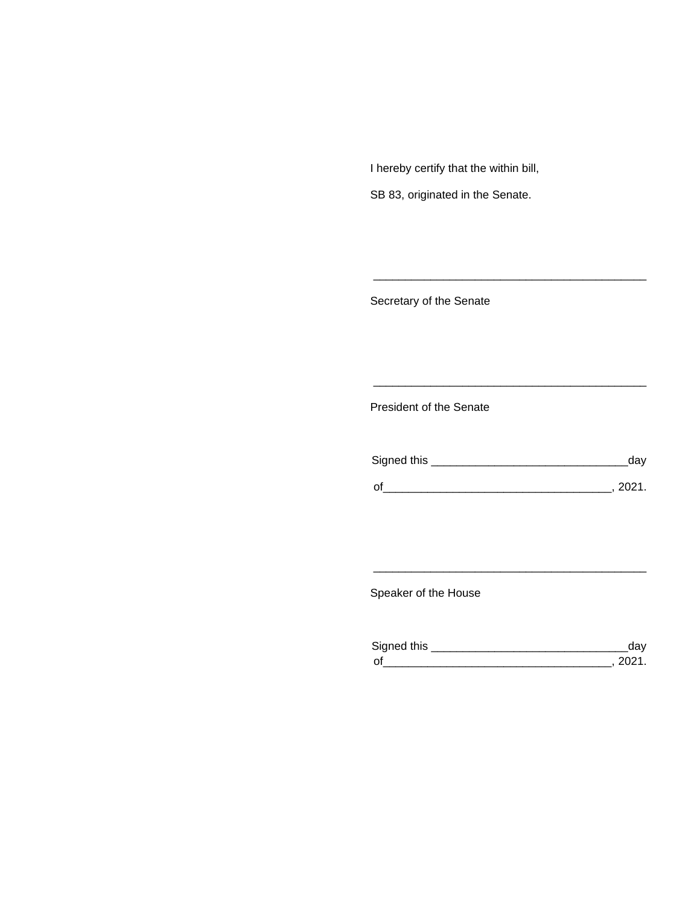I hereby certify that the within bill,

SB 83, originated in the Senate.

Secretary of the Senate

President of the Senate

| Signed this | ua v   |
|-------------|--------|
|             |        |
| $\Omega$    | 111111 |

\_\_\_\_\_\_\_\_\_\_\_\_\_\_\_\_\_\_\_\_\_\_\_\_\_\_\_\_\_\_\_\_\_\_\_\_\_\_\_\_\_\_\_

\_\_\_\_\_\_\_\_\_\_\_\_\_\_\_\_\_\_\_\_\_\_\_\_\_\_\_\_\_\_\_\_\_\_\_\_\_\_\_\_\_\_\_

Speaker of the House

| Sianed this |  |
|-------------|--|
| $\Omega$    |  |

\_\_\_\_\_\_\_\_\_\_\_\_\_\_\_\_\_\_\_\_\_\_\_\_\_\_\_\_\_\_\_\_\_\_\_\_\_\_\_\_\_\_\_